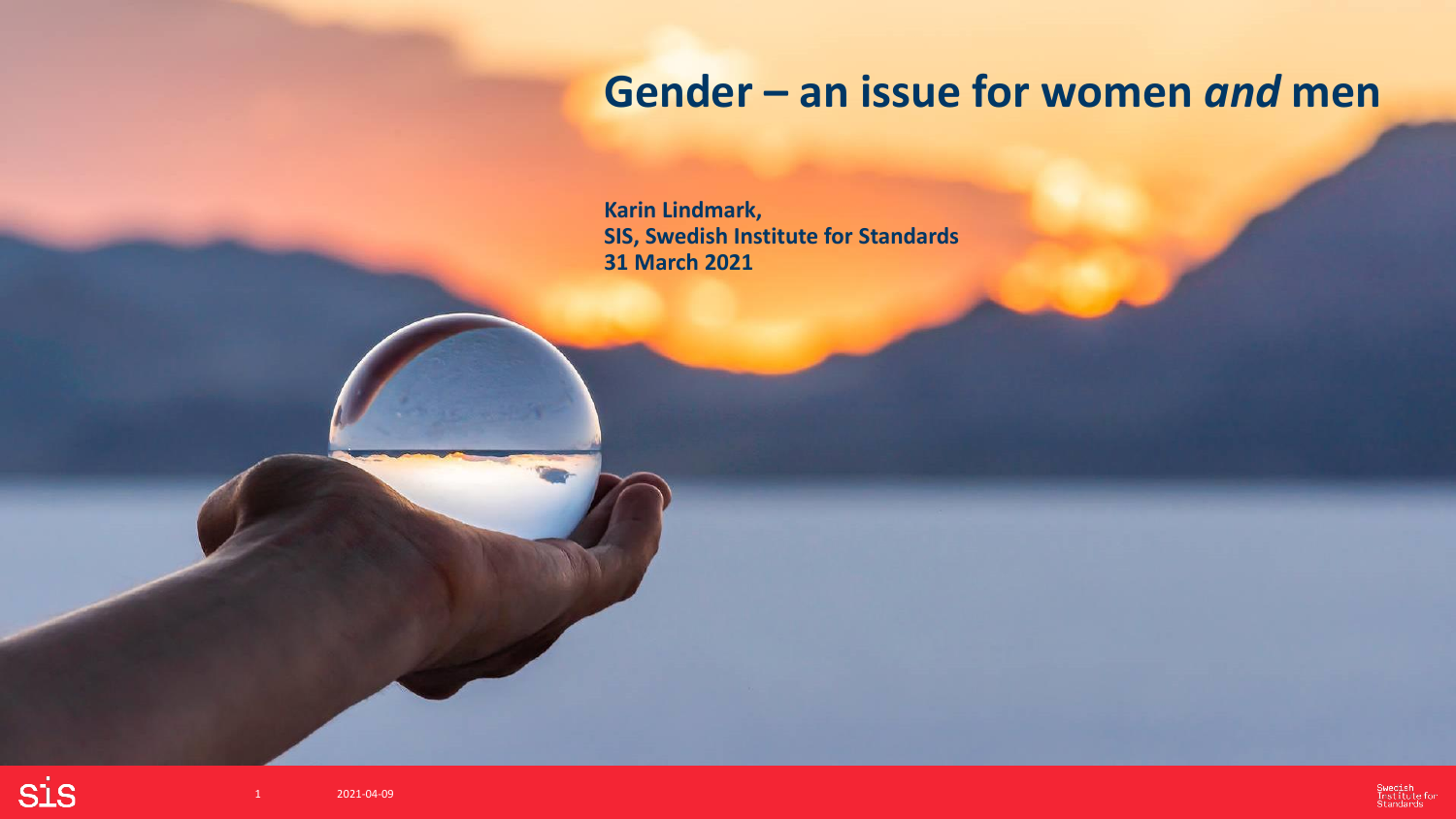# **Gender – an issue for women** *and* **men**

**Karin Lindmark, SIS, Swedish Institute for Standards 31 March 2021**

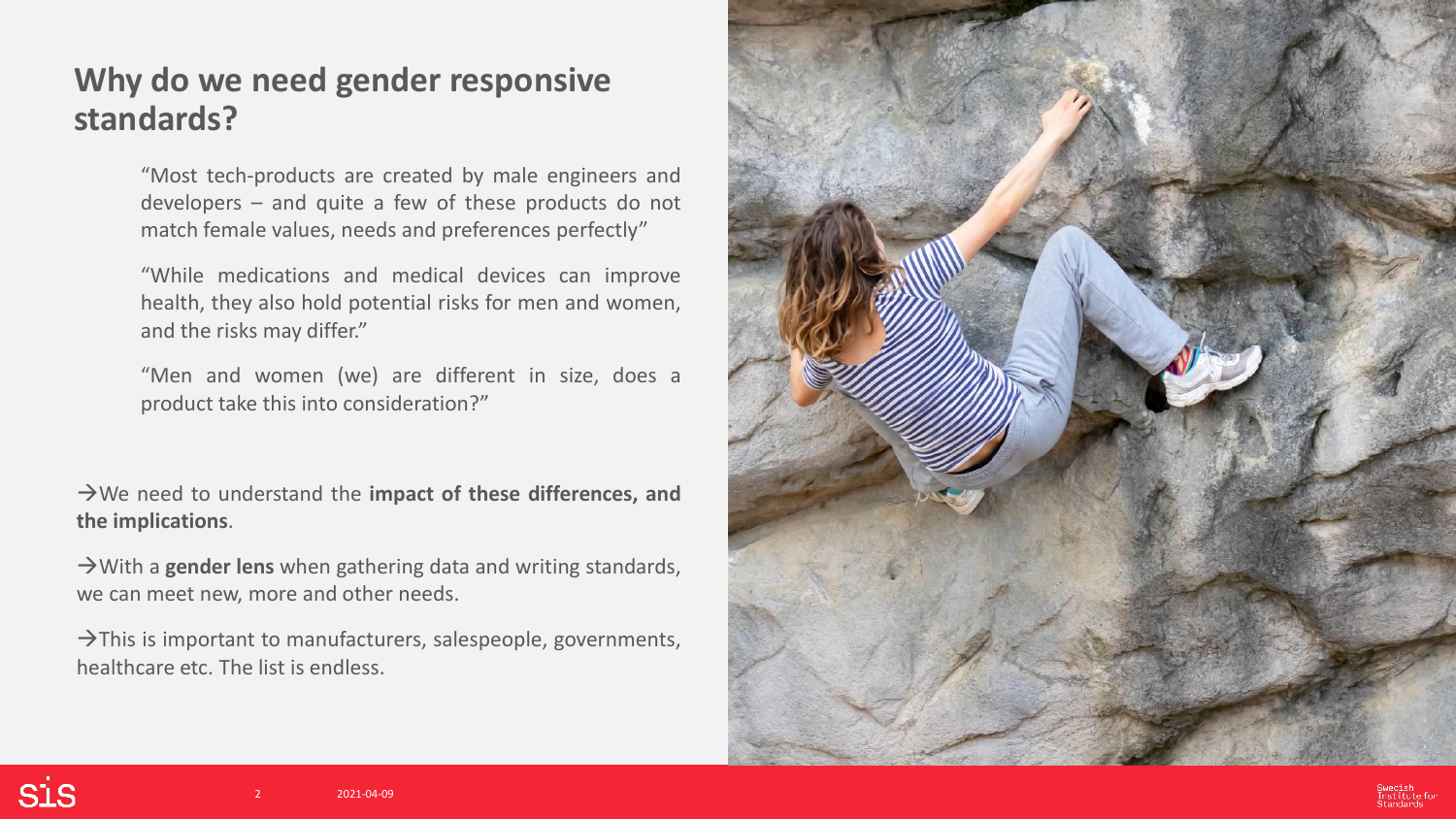### **Why do we need gender responsive standards?**

"Most tech-products are created by male engineers and developers – and quite a few of these products do not match female values, needs and preferences perfectly"

"While medications and medical devices can improve health, they also hold potential risks for men and women, and the risks may differ."

"Men and women (we) are different in size, does a product take this into consideration?"

→We need to understand the **impact of these differences, and the implications**.

→With a **gender lens** when gathering data and writing standards, we can meet new, more and other needs.

 $\rightarrow$ This is important to manufacturers, salespeople, governments, healthcare etc. The list is endless.

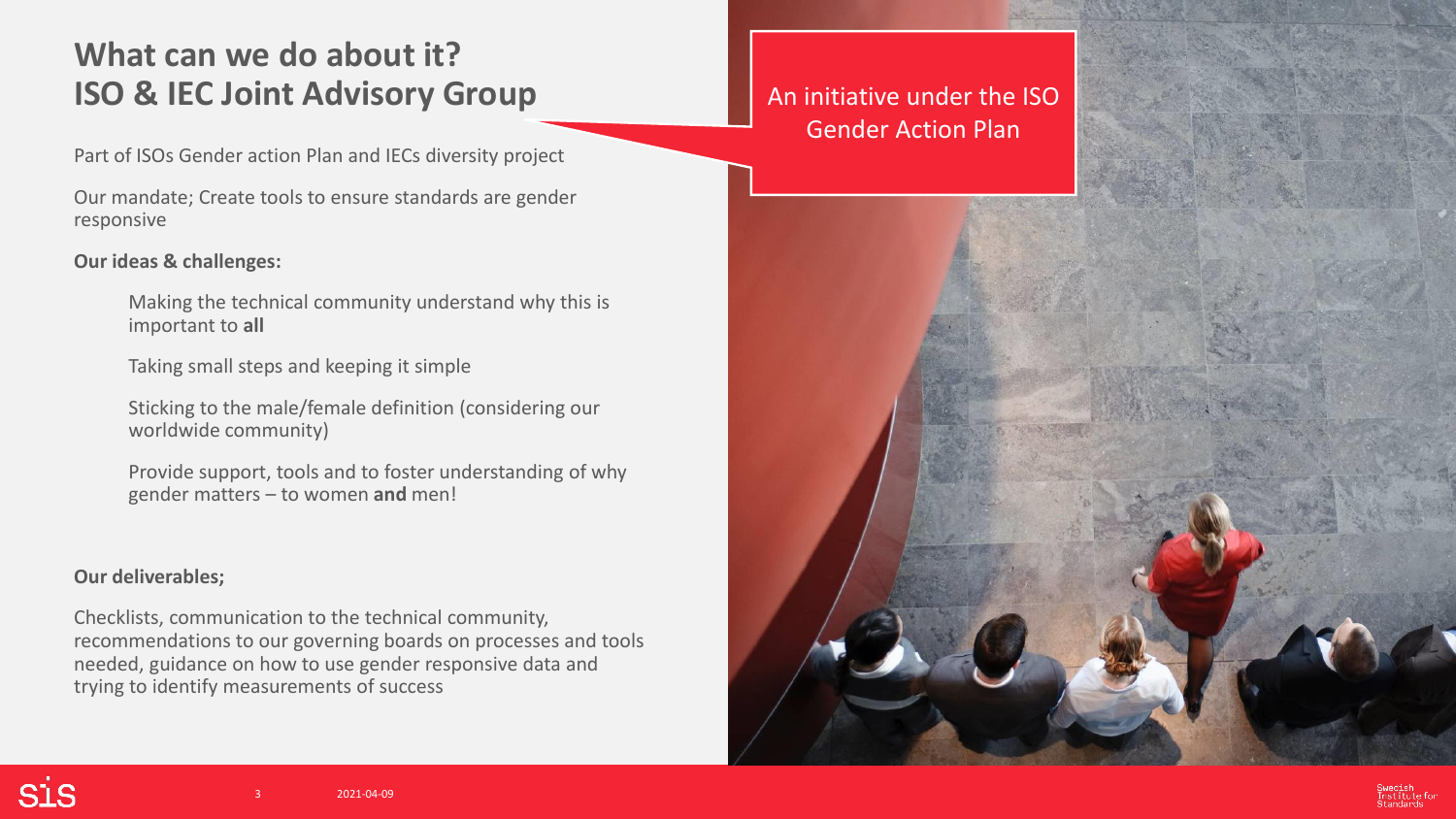## **What can we do about it? ISO & IEC Joint Advisory Group**

Part of ISOs Gender action Plan and IECs diversity project

Our mandate; Create tools to ensure standards are gender responsive

#### **Our ideas & challenges:**

Making the technical community understand why this is important to **all**

Taking small steps and keeping it simple

Sticking to the male/female definition (considering our worldwide community)

Provide support, tools and to foster understanding of why gender matters – to women **and** men!

#### **Our deliverables;**

Checklists, communication to the technical community, recommendations to our governing boards on processes and tools needed, guidance on how to use gender responsive data and trying to identify measurements of success

### An initiative under the ISO Gender Action Plan